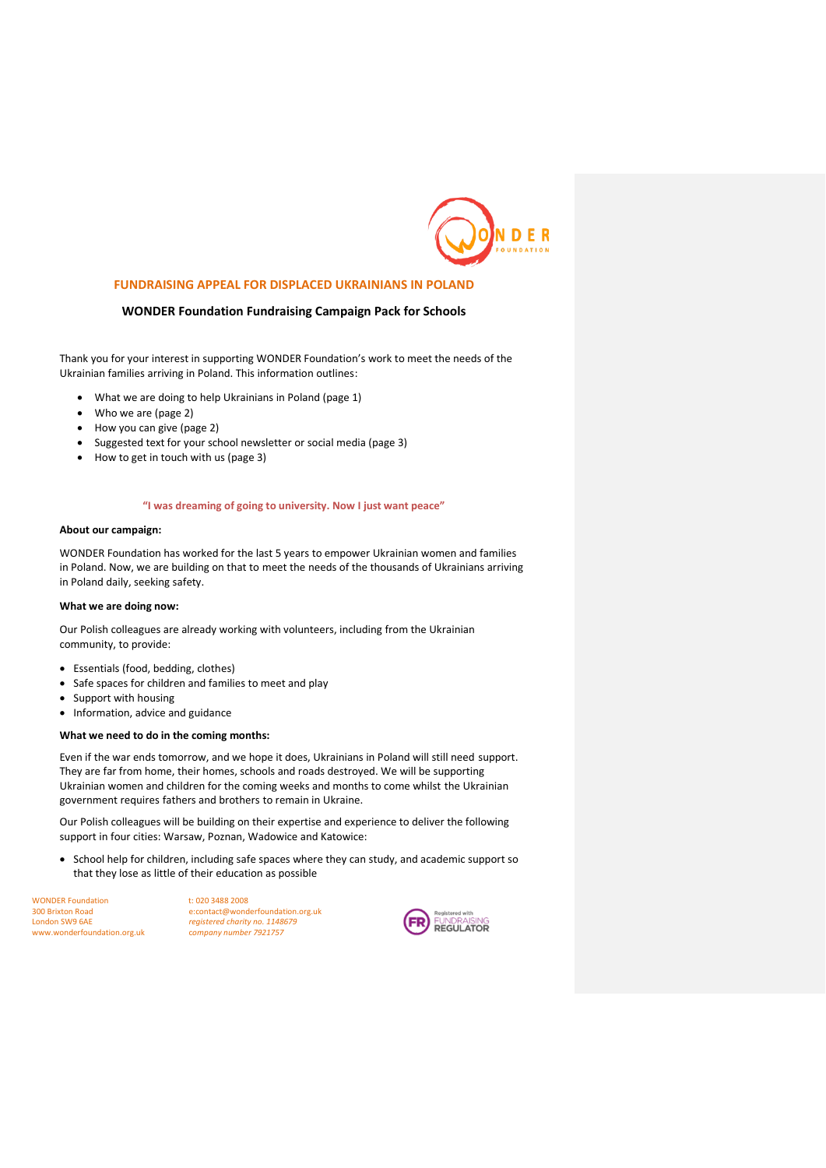

## **FUNDRAISING APPEAL FOR DISPLACED UKRAINIANS IN POLAND**

### **WONDER Foundation Fundraising Campaign Pack for Schools**

Thank you for your interest in supporting WONDER Foundation's work to meet the needs of the Ukrainian families arriving in Poland. This information outlines:

- What we are doing to help Ukrainians in Poland (page 1)
- Who we are (page 2)
- How you can give (page 2)
- Suggested text for your school newsletter or social media (page 3)
- How to get in touch with us (page 3)

#### **"I was dreaming of going to university. Now I just want peace"**

#### **About our campaign:**

WONDER Foundation has worked for the last 5 years to empower Ukrainian women and families in Poland. Now, we are building on that to meet the needs of the thousands of Ukrainians arriving in Poland daily, seeking safety.

### **What we are doing now:**

Our Polish colleagues are already working with volunteers, including from the Ukrainian community, to provide:

- Essentials (food, bedding, clothes)
- Safe spaces for children and families to meet and play
- Support with housing
- Information, advice and guidance

### **What we need to do in the coming months:**

Even if the war ends tomorrow, and we hope it does, Ukrainians in Poland will still need support. They are far from home, their homes, schools and roads destroyed. We will be supporting Ukrainian women and children for the coming weeks and months to come whilst the Ukrainian government requires fathers and brothers to remain in Ukraine.

Our Polish colleagues will be building on their expertise and experience to deliver the following support in four cities: Warsaw, Poznan, Wadowice and Katowice:

• School help for children, including safe spaces where they can study, and academic support so that they lose as little of their education as possible

WONDER Foundation<br>
300 Brixton Road<br>
e:contact@wond<br>
e:contact@wond www.wonderfoundation.org.uk

300 Brixton Road e:contact@wonderfoundation.org.uk registered charity no. 1148679<br>company number 7921757

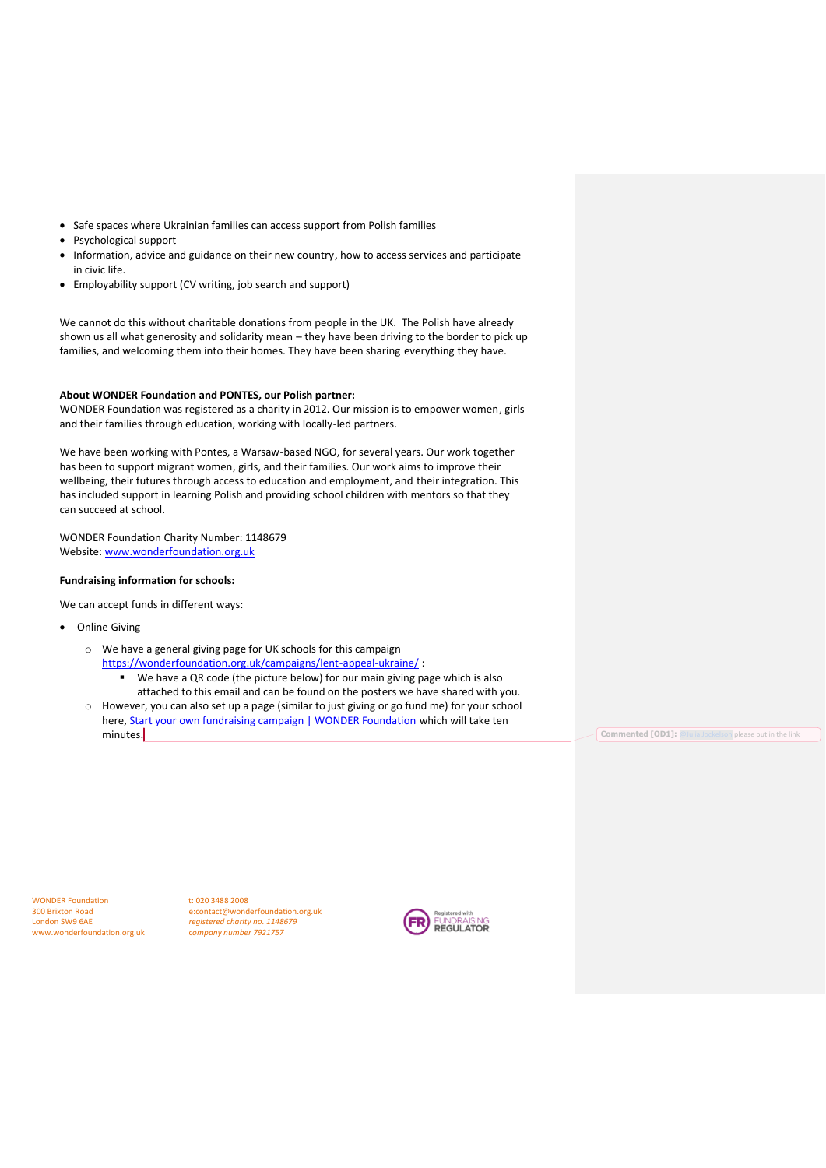- Safe spaces where Ukrainian families can access support from Polish families
- Psychological support
- Information, advice and guidance on their new country, how to access services and participate in civic life.
- Employability support (CV writing, job search and support)

We cannot do this without charitable donations from people in the UK. The Polish have already shown us all what generosity and solidarity mean – they have been driving to the border to pick up families, and welcoming them into their homes. They have been sharing everything they have.

#### **About WONDER Foundation and PONTES, our Polish partner:**

WONDER Foundation was registered as a charity in 2012. Our mission is to empower women, girls and their families through education, working with locally-led partners.

We have been working with Pontes, a Warsaw-based NGO, for several years. Our work together has been to support migrant women, girls, and their families. Our work aims to improve their wellbeing, their futures through access to education and employment, and their integration. This has included support in learning Polish and providing school children with mentors so that they can succeed at school.

WONDER Foundation Charity Number: 1148679 Website: [www.wonderfoundation.org.uk](http://www.wonderfoundation.org.uk/)

### **Fundraising information for schools:**

We can accept funds in different ways:

- Online Giving
	- o We have a general giving page for UK schools for this campaign <https://wonderfoundation.org.uk/campaigns/lent-appeal-ukraine/>: We have a QR code (the picture below) for our main giving page which is also
	- attached to this email and can be found on the posters we have shared with you. o However, you can also set up a page (similar to just giving or go fund me) for your school here, **Start your own fundraising campaign | WONDER Foundation** which will take ten minutes. **Commented [OD1]:** [@Julia Jockelson](mailto:engagement@wonderfoundation.org.uk) please put in the link

WONDER Foundation t: 020 3488 2008<br>300 Brixton Road e:contact@wond www.wonderfoundation.org.uk

300 Brixton Road e:contact@wonderfoundation.org.uk registered charity no. 1148679<br>
company number 7921757

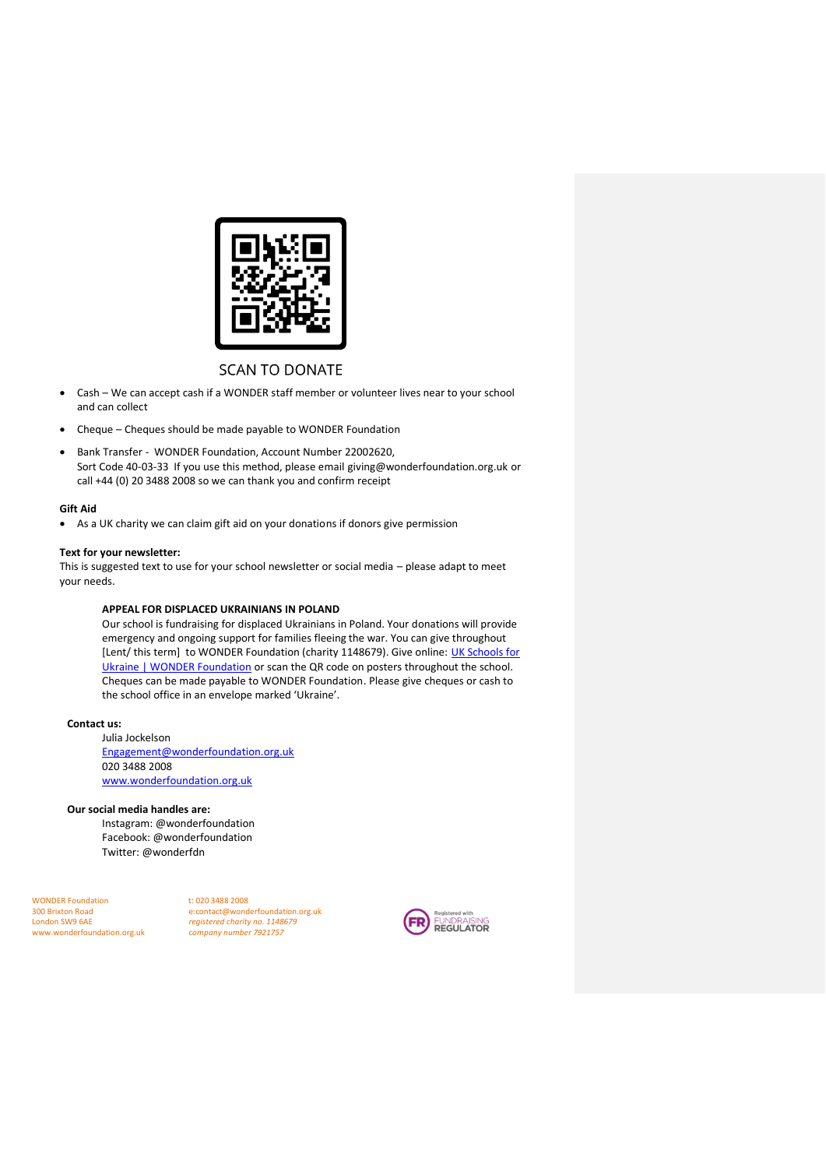

# **SCAN TO DONATE**

- Cash We can accept cash if a WONDER staff member or volunteer lives near to your school and can collect
- Cheque Cheques should be made payable to WONDER Foundation
- Bank Transfer WONDER Foundation, Account Number 22002620, Sort Code 40-03-33 If you use this method, please email [giving@wonderfoundation.org.uk](mailto:giving@wonderfoundation.org.uk) or call +44 (0) 20 3488 2008 so we can thank you and confirm receipt

### **Gift Aid**

• As a UK charity we can claim gift aid on your donations if donors give permission

## **Text for your newsletter:**

This is suggested text to use for your school newsletter or social media – please adapt to meet your needs.

# **APPEAL FOR DISPLACED UKRAINIANS IN POLAND**

Our school is fundraising for displaced Ukrainians in Poland. Your donations will provide emergency and ongoing support for families fleeing the war. You can give throughout [Lent/ this term] to WONDER Foundation (charity 1148679). Give online: UK Schools for [Ukraine | WONDER Foundation](https://wonderfoundation.org.uk/campaigns/UK-schools-for-Ukraine/) or scan the QR code on posters throughout the school. Cheques can be made payable to WONDER Foundation. Please give cheques or cash to the school office in an envelope marked 'Ukraine'.

## **Contact us:**

Julia Jockelson [Engagement@wonderfoundation.org.uk](mailto:Engagement@wonderfoundation.org.uk) 020 3488 2008 [www.wonderfoundation.org.uk](http://www.wonderfoundation.org.uk/)

## **Our social media handles are:**

Instagram: @wonderfoundation Facebook: @wonderfoundation Twitter: @wonderfdn

WONDER Foundation<br>
300 Brixton Road<br>
e:contact@wond<br>
e:contact@wond www.wonderfoundation.org.uk

300 Brixton Road e:contact@wonderfoundation.org.uk registered charity no. 1148679<br>company number 7921757